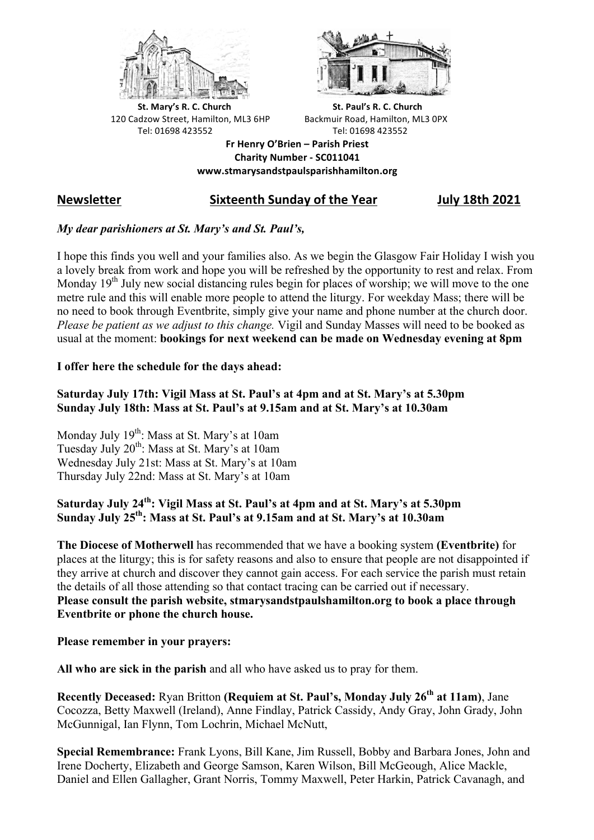



**St.** Mary's R. C. Church St. Paul's R. C. Church 120 Cadzow Street, Hamilton, ML3 6HP Backmuir Road, Hamilton, ML3 0PX Tel: 01698 423552 Tel: 01698 423552

**Fr Henry O'Brien – Parish Priest Charity Number - SC011041 www.stmarysandstpaulsparishhamilton.org**

# **Newsletter Sixteenth Sunday of the Year July 18th 2021**

## *My dear parishioners at St. Mary's and St. Paul's,*

I hope this finds you well and your families also. As we begin the Glasgow Fair Holiday I wish you a lovely break from work and hope you will be refreshed by the opportunity to rest and relax. From Monday  $19<sup>th</sup>$  July new social distancing rules begin for places of worship; we will move to the one metre rule and this will enable more people to attend the liturgy. For weekday Mass; there will be no need to book through Eventbrite, simply give your name and phone number at the church door. *Please be patient as we adjust to this change.* Vigil and Sunday Masses will need to be booked as usual at the moment: **bookings for next weekend can be made on Wednesday evening at 8pm**

#### **I offer here the schedule for the days ahead:**

### **Saturday July 17th: Vigil Mass at St. Paul's at 4pm and at St. Mary's at 5.30pm Sunday July 18th: Mass at St. Paul's at 9.15am and at St. Mary's at 10.30am**

Monday July 19<sup>th</sup>: Mass at St. Mary's at 10am Tuesday July 20<sup>th</sup>: Mass at St. Mary's at 10am Wednesday July 21st: Mass at St. Mary's at 10am Thursday July 22nd: Mass at St. Mary's at 10am

# **Saturday July 24th: Vigil Mass at St. Paul's at 4pm and at St. Mary's at 5.30pm Sunday July 25th: Mass at St. Paul's at 9.15am and at St. Mary's at 10.30am**

**The Diocese of Motherwell** has recommended that we have a booking system **(Eventbrite)** for places at the liturgy; this is for safety reasons and also to ensure that people are not disappointed if they arrive at church and discover they cannot gain access. For each service the parish must retain the details of all those attending so that contact tracing can be carried out if necessary. **Please consult the parish website, stmarysandstpaulshamilton.org to book a place through Eventbrite or phone the church house.**

#### **Please remember in your prayers:**

**All who are sick in the parish** and all who have asked us to pray for them.

**Recently Deceased:** Ryan Britton **(Requiem at St. Paul's, Monday July 26th at 11am)**, Jane Cocozza, Betty Maxwell (Ireland), Anne Findlay, Patrick Cassidy, Andy Gray, John Grady, John McGunnigal, Ian Flynn, Tom Lochrin, Michael McNutt,

**Special Remembrance:** Frank Lyons, Bill Kane, Jim Russell, Bobby and Barbara Jones, John and Irene Docherty, Elizabeth and George Samson, Karen Wilson, Bill McGeough, Alice Mackle, Daniel and Ellen Gallagher, Grant Norris, Tommy Maxwell, Peter Harkin, Patrick Cavanagh, and